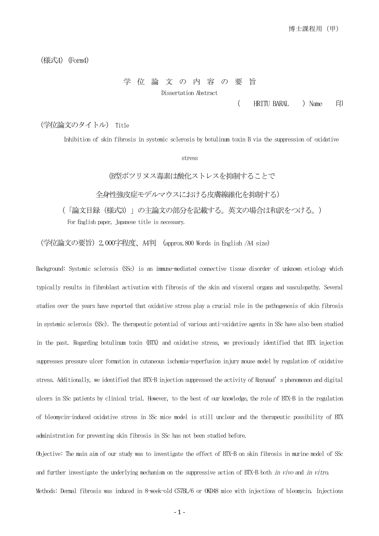(様式4)(Form4)

## 学 位 論 文 の 内 容 の 要 旨 Dissertation Abstract

(HRITU BARAL ) Name 印

(学位論文のタイトル) Title

Inhibition of skin fibrosis in systemic sclerosis by botulinum toxin B via the suppression of oxidative

stress

(B型ボツリヌス毒素は酸化ストレスを抑制することで

全身性強皮症モデルマウスにおける皮膚線維化を抑制する)

 (「論文目録(様式3)」の主論文の部分を記載する。英文の場合は和訳をつける。) For English paper, Japanese title is necessary.

(学位論文の要旨)2,000字程度、A4判 (approx.800 Words in English /A4 size)

Background: Systemic sclerosis (SSc) is an immune-mediated connective tissue disorder of unknown etiology which typically results in fibroblast activation with fibrosis of the skin and visceral organs and vasculopathy. Several studies over the years have reported that oxidative stress play a crucial role in the pathogenesis of skin fibrosis in systemic sclerosis (SSc). The therapeutic potential of various anti-oxidative agents in SSc have also been studied in the past. Regarding botulinum toxin (BTX) and oxidative stress, we previously identified that BTX injection suppresses pressure ulcer formation in cutaneous ischemia-reperfusion injury mouse model by regulation of oxidative stress. Additionally, we identified that BTX-B injection suppressed the activity of Raynaud's phenomenon and digital ulcers in SSc patients by clinical trial. However, to the best of our knowledge, the role of BTX-B in the regulation of bleomycin-induced oxidative stress in SSc mice model is still unclear and the therapeutic possibility of BTX administration for preventing skin fibrosis in SSc has not been studied before.

Objective: The main aim of our study was to investigate the effect of BTX-B on skin fibrosis in murine model of SSc and further investigate the underlying mechanism on the suppressive action of BTX-B both in vivo and in vitro. Methods: Dermal fibrosis was induced in 8-week-old C57BL/6 or OKD48 mice with injections of bleomycin. Injections